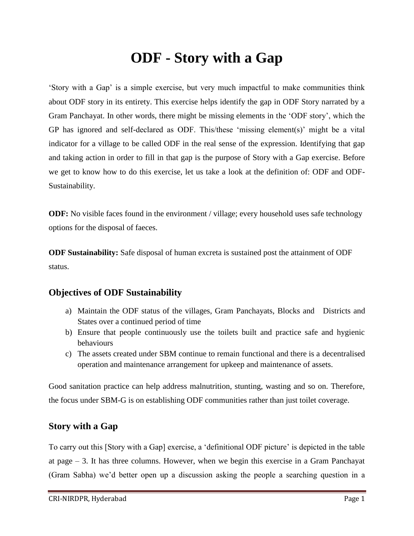## **ODF - Story with a Gap**

'Story with a Gap' is a simple exercise, but very much impactful to make communities think about ODF story in its entirety. This exercise helps identify the gap in ODF Story narrated by a Gram Panchayat. In other words, there might be missing elements in the 'ODF story', which the GP has ignored and self-declared as ODF. This/these 'missing element(s)' might be a vital indicator for a village to be called ODF in the real sense of the expression. Identifying that gap and taking action in order to fill in that gap is the purpose of Story with a Gap exercise. Before we get to know how to do this exercise, let us take a look at the definition of: ODF and ODF-Sustainability.

**ODF:** No visible faces found in the environment / village; every household uses safe technology options for the disposal of faeces.

**ODF Sustainability:** Safe disposal of human excreta is sustained post the attainment of ODF status.

## **Objectives of ODF Sustainability**

- a) Maintain the ODF status of the villages, Gram Panchayats, Blocks and Districts and States over a continued period of time
- b) Ensure that people continuously use the toilets built and practice safe and hygienic behaviours
- c) The assets created under SBM continue to remain functional and there is a decentralised operation and maintenance arrangement for upkeep and maintenance of assets.

Good sanitation practice can help address malnutrition, stunting, wasting and so on. Therefore, the focus under SBM-G is on establishing ODF communities rather than just toilet coverage.

## **Story with a Gap**

To carry out this [Story with a Gap] exercise, a 'definitional ODF picture' is depicted in the table at page – 3. It has three columns. However, when we begin this exercise in a Gram Panchayat (Gram Sabha) we'd better open up a discussion asking the people a searching question in a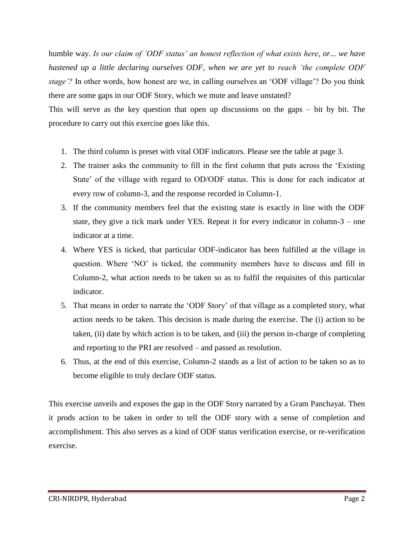humble way. *Is our claim of 'ODF status' an honest reflection of what exists here, or... we have hastened up a little declaring ourselves ODF, when we are yet to reach 'the complete ODF stage'?* In other words, how honest are we, in calling ourselves an 'ODF village'? Do you think there are some gaps in our ODF Story, which we mute and leave unstated?

This will serve as the key question that open up discussions on the gaps – bit by bit. The procedure to carry out this exercise goes like this.

- 1. The third column is preset with vital ODF indicators. Please see the table at page 3.
- 2. The trainer asks the community to fill in the first column that puts across the 'Existing State' of the village with regard to OD/ODF status. This is done for each indicator at every row of column-3, and the response recorded in Column-1.
- 3. If the community members feel that the existing state is exactly in line with the ODF state, they give a tick mark under YES. Repeat it for every indicator in column-3 – one indicator at a time.
- 4. Where YES is ticked, that particular ODF-indicator has been fulfilled at the village in question. Where 'NO' is ticked, the community members have to discuss and fill in Column-2, what action needs to be taken so as to fulfil the requisites of this particular indicator.
- 5. That means in order to narrate the 'ODF Story' of that village as a completed story, what action needs to be taken. This decision is made during the exercise. The (i) action to be taken, (ii) date by which action is to be taken, and (iii) the person in-charge of completing and reporting to the PRI are resolved – and passed as resolution.
- 6. Thus, at the end of this exercise, Column-2 stands as a list of action to be taken so as to become eligible to truly declare ODF status.

This exercise unveils and exposes the gap in the ODF Story narrated by a Gram Panchayat. Then it prods action to be taken in order to tell the ODF story with a sense of completion and accomplishment. This also serves as a kind of ODF status verification exercise, or re-verification exercise.